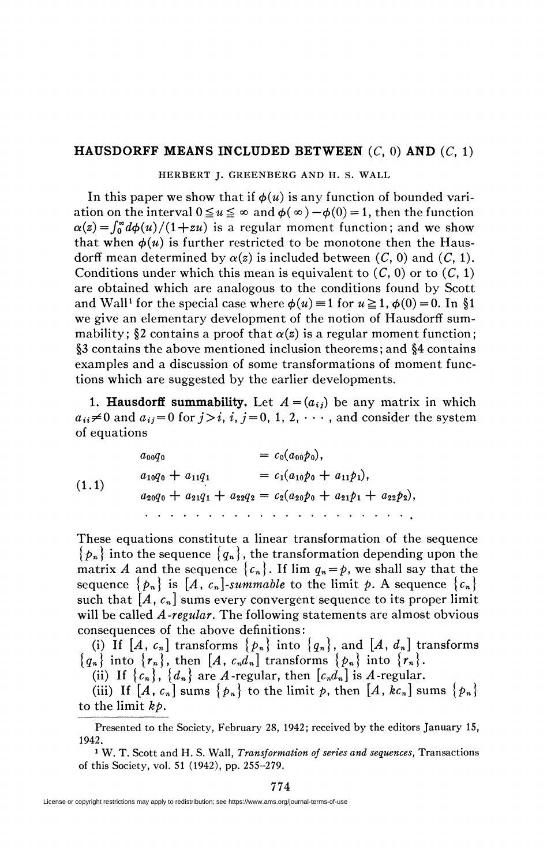## **HAUSDORFF MEANS INCLUDED BETWEEN**  $(C, 0)$  AND  $(C, 1)$

HERBERT J. GREENBERG AND H. S. WALL

In this paper we show that if  $\phi(u)$  is any function of bounded variation on the interval  $0 \le u \le \infty$  and  $\phi(\infty) - \phi(0) = 1$ , then the function  $\alpha(z) = \int_0^{\infty} d\phi(u)/(1+zu)$  is a regular moment function; and we show that when  $\phi(u)$  is further restricted to be monotone then the Hausdorff mean determined by  $\alpha(z)$  is included between  $(C, 0)$  and  $(C, 1)$ . Conditions under which this mean is equivalent to  $(C, 0)$  or to  $(C, 1)$ are obtained which are analogous to the conditions found by Scott and Wall<sup>1</sup> for the special case where  $\phi(u) \equiv 1$  for  $u \ge 1$ ,  $\phi(0) = 0$ . In §1 we give an elementary development of the notion of Hausdorff summability; §2 contains a proof that  $\alpha(z)$  is a regular moment function; §3 contains the above mentioned inclusion theorems ; and §4 contains examples and a discussion of some transformations of moment functions which are suggested by the earlier developments.

**1. Hausdorff summability.** Let  $A = (a_{ij})$  be any matrix in which  $a_{ii} \neq 0$  and  $a_{ij} = 0$  for  $j>i$ ,  $i, j = 0, 1, 2, \cdots$ , and consider the system of equations

$$
a_{00}q_{0} = c_{0}(a_{00}p_{0}),
$$
  
\n
$$
a_{10}q_{0} + a_{11}q_{1} = c_{1}(a_{10}p_{0} + a_{11}p_{1}),
$$
  
\n
$$
a_{20}q_{0} + a_{21}q_{1} + a_{22}q_{2} = c_{2}(a_{20}p_{0} + a_{21}p_{1} + a_{22}p_{2}),
$$
  
\n
$$
a_{11} \cdot a_{12} \cdot a_{13} + a_{22}q_{2} = c_{2}(a_{20}p_{0} + a_{21}p_{1} + a_{22}p_{2}),
$$

These equations constitute a linear transformation of the sequence  ${p_n}$  into the sequence  ${q_n}$ , the transformation depending upon the matrix A and the sequence  ${c_n}$ . If  $\lim q_n = p$ , we shall say that the sequence  $\{p_n\}$  is  $[A, c_n]$ -summable to the limit p. A sequence  $\{c_n\}$ such that  $[A, c_n]$  sums every convergent sequence to its proper limit will be called *A-regular.* The following statements are almost obvious consequences of the above definitions:

(i) If  $[A, c_n]$  transforms  $\{p_n\}$  into  $\{q_n\}$ , and  $[A, d_n]$  transforms  ${q_n}$  into  ${r_n}$ , then  $[A, c_n d_n]$  transforms  ${p_n}$  into  ${r_n}$ .

(ii) If  ${c_n}$ ,  ${d_n}$  are A-regular, then  $[c_n d_n]$  is A-regular.

(iii) If  $[A, c_n]$  sums  $\{p_n\}$  to the limit p, then  $[A, kc_n]$  sums  $\{p_n\}$ to the limit *kp.* 

1 W. T. Scott and H. S. Wall, *Transformation of series and sequences,* Transactions of this Society, vol. 51 (1942), pp. 255-279.

774

Presented to the Society, February 28, 1942; received by the editors January 15, 1942.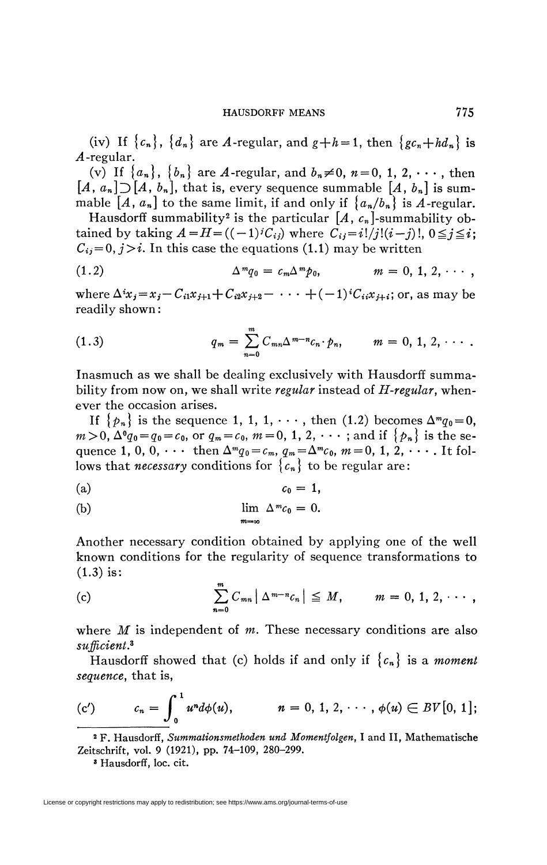(iv) If  ${c_n}$ ,  ${d_n}$  are *A*-regular, and  $g+h=1$ , then  ${gc_n+hd_n}$  is *A* -regular.

(v) If  $\{a_n\}$ ,  $\{b_n\}$  are *A*-regular, and  $b_n \neq 0$ ,  $n = 0, 1, 2, \dots$ , then  $[A, a_n]$   $\supset$   $[A, b_n]$ , that is, every sequence summable  $[A, b_n]$  is summable  $[A, a_n]$  to the same limit, if and only if  $\{a_n/b_n\}$  is A-regular.

Hausdorff summability<sup>2</sup> is the particular  $\it [A, \it c_n]$ -summability obtained by taking  $A = H = ((-1)^i C_{ij})$  where  $C_{ij} = i!/j!(i-j)!, 0 \leq j \leq i;$  $C_{ij} = 0, j > i$ . In this case the equations (1.1) may be written

(1.2) 
$$
\Delta^m q_0 = c_m \Delta^m p_0, \qquad m = 0, 1, 2, \cdots,
$$

where  $\Delta^i x_i = x_i - C_{i1}x_{i+1} + C_{i2}x_{i+2} - \cdots + (-1)^i C_{i i}x_{i+1}$ ; or, as may be readily shown :

(1.3) 
$$
q_m = \sum_{n=0}^{m} C_{mn} \Delta^{m-n} c_n \cdot p_n, \qquad m = 0, 1, 2, \cdots.
$$

Inasmuch as we shall be dealing exclusively with Hausdorff summability from now on, we shall write *regular* instead of *H-regular,* whenever the occasion arises.

If  $\{p_n\}$  is the sequence 1, 1, 1,  $\cdots$ , then (1.2) becomes  $\Delta^m q_0 = 0$ ,  $m > 0,$   $\Delta^0 q_0 = q_0 = c_0,$  or  $q_m = c_0,$   $m = 0, 1, 2, \cdots$  ; and if  $\{p_n\}$  is the sequence 1, 0, 0,  $\cdots$  then  $\Delta^{m}q_{0} = c_{m}$ ,  $q_{m} = \Delta^{m}c_{0}$ ,  $m = 0, 1, 2, \cdots$ . It follows that *necessary* conditions for  $\{c_n\}$  to be regular are:

$$
(a) \t\t\t c_0=1,
$$

(b) 
$$
\lim_{m \to \infty} \Delta^m c_0 = 0.
$$

Another necessary condition obtained by applying one of the well known conditions for the regularity of sequence transformations to (1.3) is:

(c) 
$$
\sum_{n=0}^{m} C_{mn} |\Delta^{m-n} C_n| \leq M, \qquad m = 0, 1, 2, \cdots,
$$

where *M* is independent of *m*. These necessary conditions are also *sufficient\** 

Hausdorff showed that (c) holds if and only if  ${c_n}$  is a *moment sequence,* that is,

$$
(c') \t c_n = \int_0^1 u^n d\phi(u), \t n = 0, 1, 2, \cdots, \phi(u) \in BV[0, 1];
$$

<sup>2</sup> F. Hausdorff, Summationsmethoden und Momentfolgen, I and II, Mathematische Zeitschrift, vol. 9 (1921), pp. 74-109, 280-299.

3 Hausdorff, loc. cit.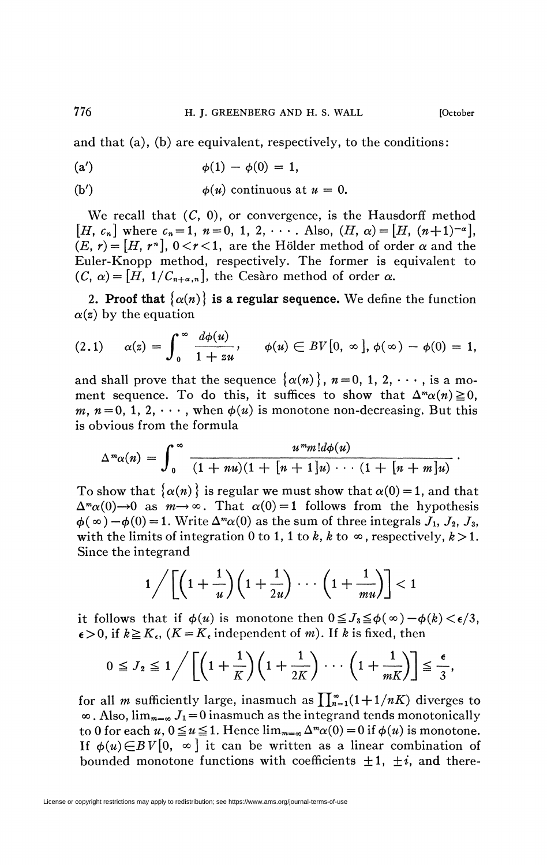and that (a), (b) are equivalent, respectively, to the conditions:

(a') 
$$
\phi(1) - \phi(0) = 1
$$
,

(b') 
$$
\phi(u)
$$
 continuous at  $u = 0$ .

We recall that  $(C, 0)$ , or convergence, is the Hausdorff method  $[H, c_n]$  where  $c_n = 1$ ,  $n = 0, 1, 2, \cdots$ . Also,  $(H, \alpha) = [H, (n+1)^{-\alpha}],$  $(E, r) = [H, r<sup>n</sup>], 0 < r < 1$ , are the Hölder method of order  $\alpha$  and the Euler-Knopp method, respectively. The former is equivalent to  $(C, \alpha) = [H, 1/C_{n+\alpha,n}]$ , the Cesàro method of order  $\alpha$ .

2. **Proof that**  $\{\alpha(n)\}\$ is a regular sequence. We define the function  $\alpha(z)$  by the equation

$$
(2.1) \quad \alpha(z) = \int_0^\infty \frac{d\phi(u)}{1+zu}, \quad \phi(u) \in BV[0, \infty], \phi(\infty) - \phi(0) = 1,
$$

and shall prove that the sequence  $\{\alpha(n)\}\,$ ,  $n=0, 1, 2, \cdots$ , is a moment sequence. To do this, it suffices to show that  $\Delta^m \alpha(n) \geq 0$ , *m, n* = 0, 1, 2,  $\cdots$ , when  $\phi(u)$  is monotone non-decreasing. But this is obvious from the formula

$$
\Delta^m\alpha(n) = \int_0^\infty \frac{u^m m! d\phi(u)}{(1+nu)(1+[n+1]u)\cdots(1+[n+m]u)}.
$$

To show that  $\{\alpha(n)\}\$ is regular we must show that  $\alpha(0) = 1$ , and that  $\Delta^m \alpha(0) \to 0$  as  $m \to \infty$ . That  $\alpha(0) = 1$  follows from the hypothesis  $\phi(\infty) - \phi(0) = 1$ . Write  $\Delta^m \alpha(0)$  as the sum of three integrals  $J_1$ ,  $J_2$ ,  $J_3$ , with the limits of integration 0 to 1, 1 to k, k to  $\infty$ , respectively,  $k > 1$ . Since the integrand

$$
1/\left[\left(1+\frac{1}{u}\right)\left(1+\frac{1}{2u}\right)\cdots\left(1+\frac{1}{mu}\right)\right]<1
$$

it follows that if  $\phi(u)$  is monotone then  $0 \leq J_3 \leq \phi(\infty) - \phi(k) < \epsilon/3$ ,  $\epsilon > 0$ , if  $k \ge K_{\epsilon}$ , ( $K = K_{\epsilon}$  independent of *m*). If *k* is fixed, then

$$
0 \leq J_2 \leq 1 \bigg/ \left[ \left( 1 + \frac{1}{K} \right) \left( 1 + \frac{1}{2K} \right) \cdots \left( 1 + \frac{1}{mK} \right) \right] \leq \frac{\epsilon}{3},
$$

for all *m* sufficiently large, inasmuch as  $\prod_{n=1}^{\infty} (1 + 1/nK)$  diverges to  $\infty$ . Also,  $\lim_{m=\infty} J_1 = 0$  inasmuch as the integrand tends monotonically to 0 for each  $u, 0 \le u \le 1$ . Hence  $\lim_{m=\infty} \Delta^m \alpha(0) = 0$  if  $\phi(u)$  is monotone. If  $\phi(u) \in BV[0, \infty]$  it can be written as a linear combination of bounded monotone functions with coefficients  $\pm 1$ ,  $\pm i$ , and there-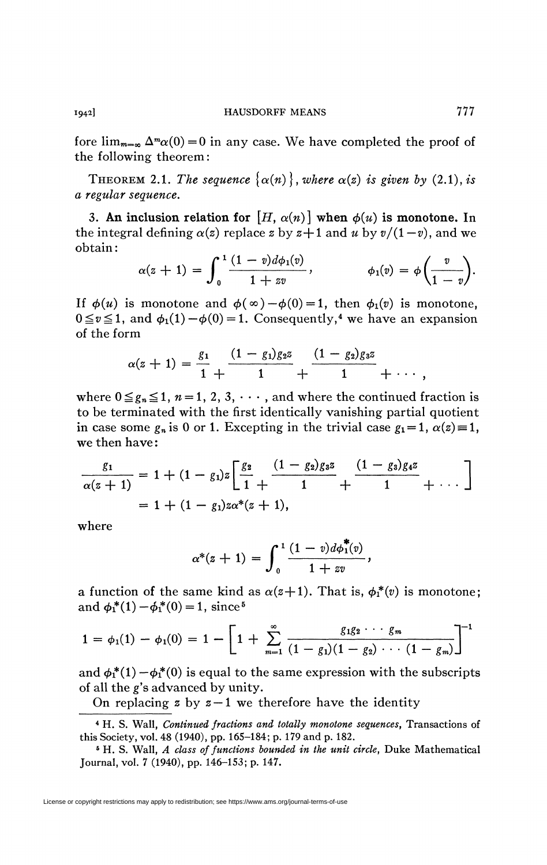fore  $\lim_{m=\infty} \Delta^m \alpha(0) = 0$  in any case. We have completed the proof of the following theorem:

THEOREM 2.1. The sequence  $\{\alpha(n)\}\,$ , where  $\alpha(z)$  is given by (2.1), is *a regular sequence.* 

3. An inclusion relation for  $[H, \alpha(n)]$  when  $\phi(n)$  is monotone. In the integral defining  $\alpha(z)$  replace z by  $z+1$  and u by  $v/(1-v)$ , and we obtain :

$$
\alpha(z+1)=\int_0^1\frac{(1-v)d\phi_1(v)}{1+ zv}, \qquad \phi_1(v)=\phi\bigg(\frac{v}{1-v}\bigg).
$$

If  $\phi(u)$  is monotone and  $\phi(\infty) - \phi(0) = 1$ , then  $\phi_1(v)$  is monotone,  $0 \le v \le 1$ , and  $\phi_1(1) - \phi(0) = 1$ . Consequently,<sup>4</sup> we have an expansion of the form

$$
\alpha(z+1)=\frac{g_1}{1}+\frac{(1-g_1)g_2z}{1}+\frac{(1-g_2)g_3z}{1}+\cdots,
$$

where  $0 \leq g_n \leq 1$ ,  $n = 1, 2, 3, \cdots$ , and where the continued fraction is to be terminated with the first identically vanishing partial quotient in case some  $g_n$  is 0 or 1. Excepting in the trivial case  $g_1 = 1$ ,  $\alpha(z) = 1$ , we then have :

$$
\frac{g_1}{\alpha(z+1)} = 1 + (1 - g_1)z \left[ \frac{g_2}{1} + \frac{(1 - g_2)g_3z}{1} + \frac{(1 - g_3)g_4z}{1} + \dots \right]
$$
  
= 1 + (1 - g\_1)z\alpha^\*(z+1),

where

$$
\alpha^*(z+1) = \int_0^1 \frac{(1-v)d\phi_1^{\tau}(v)}{1+ zv},
$$

 $\alpha^*(z+1) = \int_0^{\frac{\sqrt{1-\alpha^2}}{2}} i$ ,<br>a function of the same kind as  $\alpha(z+1)$ . That is,  $\phi_1^*(v)$  is monotone; and  $\phi_1^*(1) - \phi_1^*(0) = 1$ , since<sup>5</sup>

$$
1 = \phi_1(1) - \phi_1(0) = 1 - \left[1 + \sum_{m=1}^{\infty} \frac{g_1 g_2 \cdots g_m}{(1 - g_1)(1 - g_2) \cdots (1 - g_m)}\right]^{-1}
$$

and  $\phi_1^*(1) - \phi_1^*(0)$  is equal to the same expression with the subscripts of all the g's advanced by unity.

On replacing  $z$  by  $z-1$  we therefore have the identity

<sup>4</sup> H. S. Wall, *Continued fractions and totally monotone sequences,* Transactions of this Society, vol. 48 (1940), pp. 165-184; p. 179 and p. 182.

<sup>5</sup> H. S. Wall, *A class of functions bounded in the unit circle,* Duke Mathematical Journal, vol. 7 (1940), pp. 146-153; p. 147.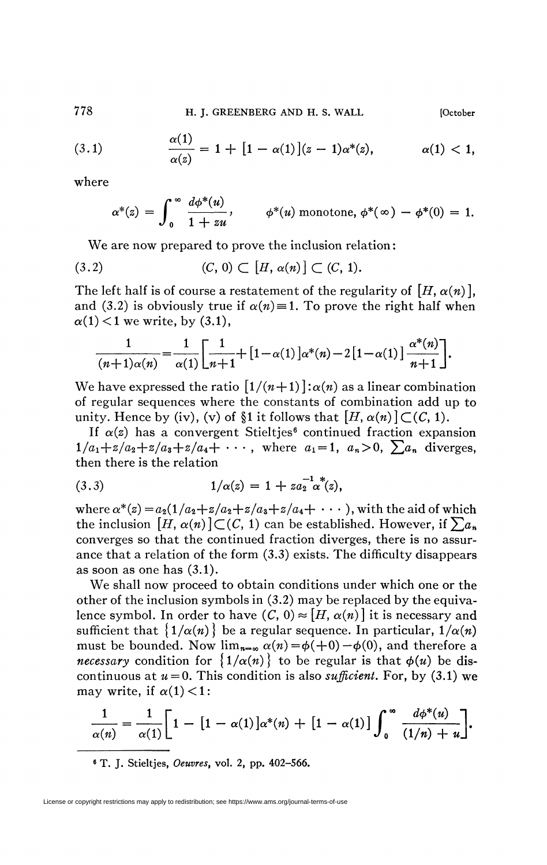778 **H. J. GREENBERG AND H. S. WALL [October** 

(3.1) 
$$
\frac{\alpha(1)}{\alpha(z)} = 1 + [1 - \alpha(1)](z - 1)\alpha^*(z), \qquad \alpha(1) < 1,
$$

where

$$
\alpha^*(z) = \int_0^\infty \frac{d\phi^*(u)}{1+zu}, \qquad \phi^*(u) \text{ monotone, } \phi^*(\infty) - \phi^*(0) = 1.
$$

We are now prepared to prove the inclusion relation :

$$
(3.2) \qquad (C, 0) \subset [H, \alpha(n)] \subset (C, 1).
$$

 $\overline{1}$ 

The left half is of course a restatement of the regularity of  $[H, \alpha(n)]$ *,* and (3.2) is obviously true if  $\alpha(n) = 1$ . To prove the right half when  $\alpha(1)$  < 1 we write, by (3.1),

$$
\frac{1}{(n+1)\alpha(n)} = \frac{1}{\alpha(1)} \left[ \frac{1}{n+1} + \left[ 1 - \alpha(1) \right] \alpha^*(n) - 2 \left[ 1 - \alpha(1) \right] \frac{\alpha^*(n)}{n+1} \right].
$$

We have expressed the ratio  $\left[1/(n+1)\right]$  *:* $\alpha(n)$  as a linear combination of regular sequences where the constants of combination add up to unity. Hence by (iv), (v) of §1 it follows that  $[H, \alpha(n)] \subset (C, 1)$ .

If  $\alpha(z)$  has a convergent Stieltjes<sup>6</sup> continued fraction expansion  $1/a_1+z/a_2+z/a_3+z/a_4+\cdots$ , where  $a_1=1, a_n>0$ ,  $\sum a_n$  diverges, then there is the relation

(3.3) 
$$
1/\alpha(z) = 1 + za_2^{-1} \alpha^*(z),
$$

where  $\alpha^*(z) = a_2(1/a_2 + z/a_2 + z/a_3 + z/a_4 + \cdots)$ , with the aid of which the inclusion  $[H, \alpha(n)] \subset (C, 1)$  can be established. However, if  $\sum a_n$ converges so that the continued fraction diverges, there is no assurance that a relation of the form (3.3) exists. The difficulty disappears as soon as one has (3.1).

We shall now proceed to obtain conditions under which one or the other of the inclusion symbols in (3.2) may be replaced by the equivalence symbol. In order to have  $(C, 0) \approx [H, \alpha(n)]$  it is necessary and sufficient that  $\{1/\alpha(n)\}\)$  be a regular sequence. In particular,  $1/\alpha(n)$ must be bounded. Now  $\lim_{n=\infty} \alpha(n) = \phi(+0) - \phi(0)$ , and therefore a *necessary* condition for  $\{1/\alpha(n)\}\)$  to be regular is that  $\phi(u)$  be discontinuous at  $u = 0$ . This condition is also *sufficient*. For, by (3.1) we may write, if  $\alpha(1)$  < 1:

$$
\frac{1}{\alpha(n)} = \frac{1}{\alpha(1)} \bigg[ 1 - [1 - \alpha(1)] \alpha^*(n) + [1 - \alpha(1)] \int_0^\infty \frac{d\phi^*(u)}{(1/n) + u} \bigg].
$$

6 T. J. Stieltjes, *Oeuvres,* vol. 2, pp. 402-566.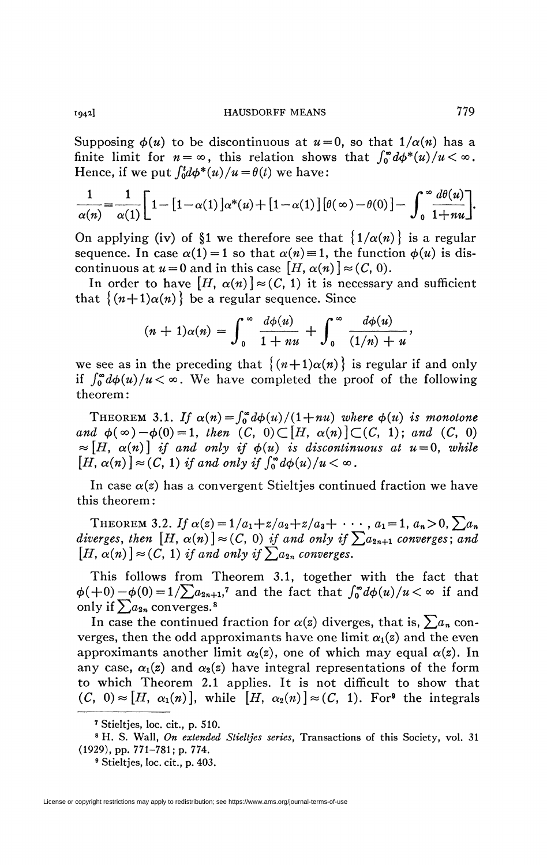Supposing  $\phi(u)$  to be discontinuous at  $u=0$ , so that  $1/\alpha(n)$  has a finite limit for  $n = \infty$ , this relation shows that  $\int_0^{\infty} d\phi^*(u)/u < \infty$ . Hence, if we put  $\int_0^t d\phi^*(u)/u = \theta(t)$  we have:

$$
\frac{1}{\alpha(n)} = \frac{1}{\alpha(1)} \left[ 1 - \left[ 1 - \alpha(1) \right] \alpha^*(u) + \left[ 1 - \alpha(1) \right] \left[ \theta(\infty) - \theta(0) \right] - \int_0^\infty \frac{d\theta(u)}{1+uu} \right].
$$

On applying (iv) of §1 we therefore see that  $\{\frac{1}{\alpha}(n)\}\)$  is a regular sequence. In case  $\alpha(1) = 1$  so that  $\alpha(n) = 1$ , the function  $\phi(u)$  is discontinuous at  $u = 0$  and in this case  $[H, \alpha(n)] \approx (C, 0)$ .

In order to have  $[H, \alpha(n)] \approx (C, 1)$  it is necessary and sufficient that  $\{(n+1)\alpha(n)\}\)$  be a regular sequence. Since

$$
(n+1)\alpha(n)=\int_0^\infty\frac{d\phi(u)}{1+nu}+\int_0^\infty\frac{d\phi(u)}{(1/n)+u},
$$

 $J_1 + (x + 4x + 3)$  + u we see as in the preceding that  $\{(n+1)\alpha(n)\}\)$  is regular if and only if  $\int_0^{\infty} d\phi(u)/u < \infty$ . We have completed the proof of the following theorem :

THEOREM 3.1. If  $\alpha(n) = \int_0^{\infty} d\phi(u)/(1+nu)$  where  $\phi(u)$  is monotone *and*  $\phi(\infty) - \phi(0) = 1$ *, then*  $(C, 0) \subset [H, \alpha(n)] \subset (C, 1)$ ; *and*  $(C, 0)$  $\approx [H, \alpha(n)]$  if and only if  $\phi(u)$  is discontinuous at  $u = 0$ , while  $[H, \alpha(n)] \approx (C, 1)$  *if and only if*  $\int_0^{\infty} d\phi(u)/u < \infty$ .

In case  $\alpha(z)$  has a convergent Stieltjes continued fraction we have this theorem :

THEOREM 3.2. If  $\alpha(z) = 1/a_1 + z/a_2 + z/a_3 + \cdots$ ,  $a_1 = 1, a_n > 0, \sum a_n$ *diverges, then*  $[H, \alpha(n)] \approx (C, 0)$  *if and only if*  $\sum a_{2n+1}$  *converges; and*  $[H, \alpha(n)] \approx (C, 1)$  *if and only if*  $\sum a_{2n}$  converges.

This follows from Theorem 3.1, together with the fact that  $\phi(+0)-\phi(0)=1/\sum a_{2n+1}$ ,<sup>7</sup> and the fact that  $\int_0^{\infty} d\phi(u)/u < \infty$  if and only if  $\sum a_{2n}$  converges.<sup>8</sup>

In case the continued fraction for  $\alpha(z)$  diverges, that is,  $\sum a_n$  converges, then the odd approximants have one limit  $\alpha_1(z)$  and the even approximants another limit  $\alpha_2(z)$ , one of which may equal  $\alpha(z)$ . In any case,  $\alpha_1(z)$  and  $\alpha_2(z)$  have integral representations of the form to which Theorem 2.1 applies. It is not difficult to show that  $(C, 0) \approx [H, \alpha_1(n)]$ , while  $[H, \alpha_2(n)] \approx (C, 1)$ . For<sup>9</sup> the integrals

License or copyright restrictions may apply to redistribution; see https://www.ams.org/journal-terms-of-use

<sup>7</sup> Stieltjes, loc. cit., p. 510.

<sup>8</sup> H. S. Wall, *On extended Stieltjes series,* Transactions of this Society, vol. 31 (1929), pp. 771-781; p. 774.

<sup>9</sup> Stieltjes, loc. cit., p. 403.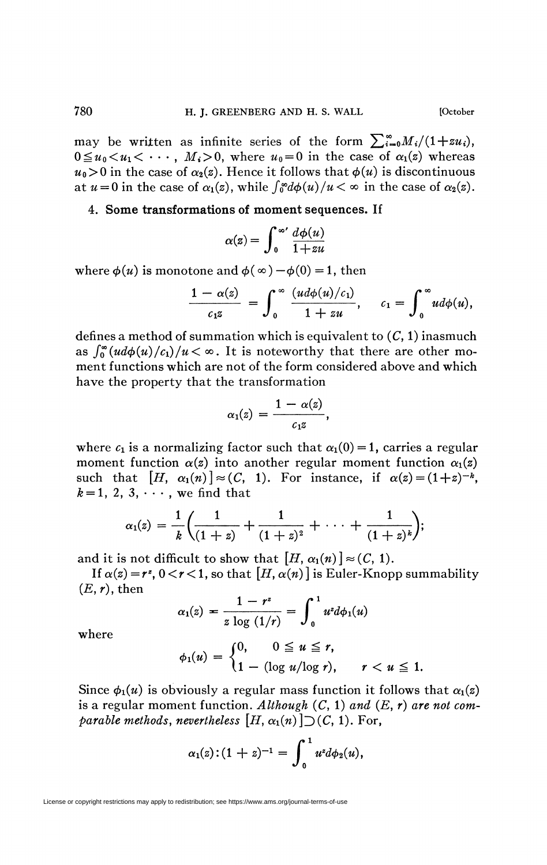may be written as infinite series of the form  $\sum_{i=0}^{\infty}M_i/(1+zu_i)$ *,*  $0 \le u_0 < u_1 < \cdots, M_i > 0$ , where  $u_0 = 0$  in the case of  $\alpha_1(z)$  whereas  $u_0 > 0$  in the case of  $\alpha_2(z)$ . Hence it follows that  $\phi(u)$  is discontinuous at  $u = 0$  in the case of  $\alpha_1(z)$ , while  $\int_0^{\infty} d\phi(u)/u < \infty$  in the case of  $\alpha_2(z)$ .

## 4. **Some transformations of moment sequences. If**

$$
\alpha(z) = \int_0^\infty \frac{d\phi(u)}{1+zu}
$$

where  $\phi(u)$  is monotone and  $\phi(\infty) - \phi(0) = 1$ , then

$$
\frac{1-\alpha(z)}{c_1z}=\int_0^\infty\frac{(ud\phi(u)/c_1)}{1+zu},\quad c_1=\int_0^\infty ud\phi(u),
$$

*Jo 1 + zu JQ*  defines a method of summation which is equivalent to  $(C, 1)$  inasmuch as  $\int_0^{\infty} (ud\phi(u)/c_1)/u < \infty$ . It is noteworthy that there are other moment functions which are not of the form considered above and which have the property that the transformation

$$
\alpha_1(z)=\frac{1-\alpha(z)}{c_1z},
$$

where  $c_1$  is a normalizing factor such that  $\alpha_1(0) = 1$ , carries a regular moment function  $\alpha(z)$  into another regular moment function  $\alpha_1(z)$ such that  $[H, \alpha_1(n)] \approx (C, 1)$ . For instance, if  $\alpha(z) = (1+z)^{-k}$ ,  $k = 1, 2, 3, \cdots$ , we find that

$$
\alpha_1(z) = \frac{1}{k} \bigg( \frac{1}{(1+z)} + \frac{1}{(1+z)^2} + \cdots + \frac{1}{(1+z)^k} \bigg);
$$

and it is not difficult to show that  $[H, \alpha_1(n)] \approx (C, 1)$ .

If  $\alpha(z) = r^z$ ,  $0 < r < 1$ , so that  $[H, \alpha(n)]$  is Euler-Knopp summability  $(E,r)$ , then

$$
\alpha_1(z) = \frac{1 - r^z}{z \log (1/r)} = \int_0^1 u^z d\phi_1(u)
$$

where

$$
\phi_1(u) = \begin{cases} 0, & 0 \leq u \leq r, \\ 1 - (\log u/\log r), & r < u \leq 1. \end{cases}
$$

Since  $\phi_1(u)$  is obviously a regular mass function it follows that  $\alpha_1(z)$ is a regular moment function. *Although* (C, 1) *and (E, r) are not comparable methods, nevertheless*  $[H, \alpha_1(n)]$   $\supset$   $(C, 1)$ . For,

$$
\alpha_1(z):(1+z)^{-1}=\int_0^1u^zd\phi_2(u),
$$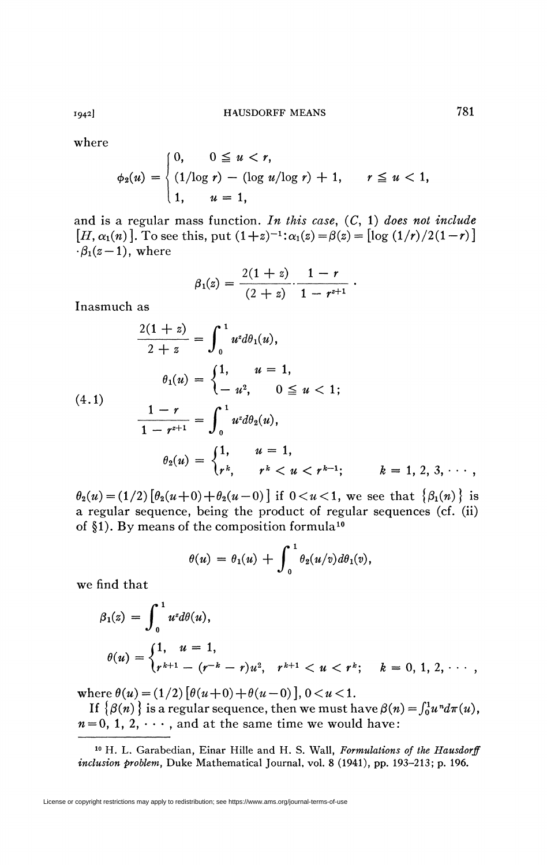where

$$
\phi_2(u) = \begin{cases} 0, & 0 \le u < r, \\ (1/\log r) - (\log u/\log r) + 1, & r \le u < 1, \\ 1, & u = 1, \end{cases}
$$

and is a regular mass function. *In this case,* (C, 1) *does not include*   $[H, \alpha_1(n)]$ . To see this, put  $(1+z)^{-1}$ :  $\alpha_1(z) = \beta(z) = [\log (1/r)/2(1-r)]$  $-\beta_1(z-1)$ , where

$$
\beta_1(z) = \frac{2(1+z)}{(2+z)} \cdot \frac{1-r}{1-r^{z+1}}.
$$

Inasmuch as

$$
\frac{2(1+z)}{2+z} = \int_0^1 u^2 d\theta_1(u),
$$
  
\n
$$
\theta_1(u) = \begin{cases} 1, & u = 1, \\ -u^2, & 0 \le u < 1; \end{cases}
$$
  
\n
$$
\frac{1-r}{1-r^{z+1}} = \int_0^1 u^2 d\theta_2(u),
$$
  
\n
$$
\theta_2(u) = \begin{cases} 1, & u = 1, \\ r^k, & r^k < u < r^{k-1}; \end{cases} \qquad k = 1, 2, 3, \cdots,
$$

 $\theta_2(u) = (1/2) [\theta_2(u+0) + \theta_2(u-0)]$  if  $0 < u < 1$ , we see that  $\{\beta_1(n)\}\$ is a regular sequence, being the product of regular sequences (cf. (ii) of §1). By means of the composition formula<sup>10</sup>

$$
\theta(u) = \theta_1(u) + \int_0^1 \theta_2(u/v) d\theta_1(v),
$$

we find that

$$
\beta_1(z) = \int_0^1 u^z d\theta(u),
$$
  
\n
$$
\theta(u) = \begin{cases} 1, & u = 1, \\ r^{k+1} - (r^{-k} - r)u^2, & r^{k+1} < u < r^k; \quad k = 0, 1, 2, \cdots, \end{cases}
$$

where  $\theta(u) = (1/2) [\theta(u+0) + \theta(u-0)]$ ,  $0 < u < 1$ .

If  $\{\beta(n)\}\$  is a regular sequence, then we must have  $\beta(n) = \int_0^1 u^n d\pi(u)$ ,  $n = 0, 1, 2, \cdots$ , and at the same time we would have:

10 H. L. Garabedian, Einar Hille and H. S. Wall, *Formulations of the Hausdorff inclusion problem,* Duke Mathematical Journal, vol. 8 (1941), pp. 193-213; p. 196.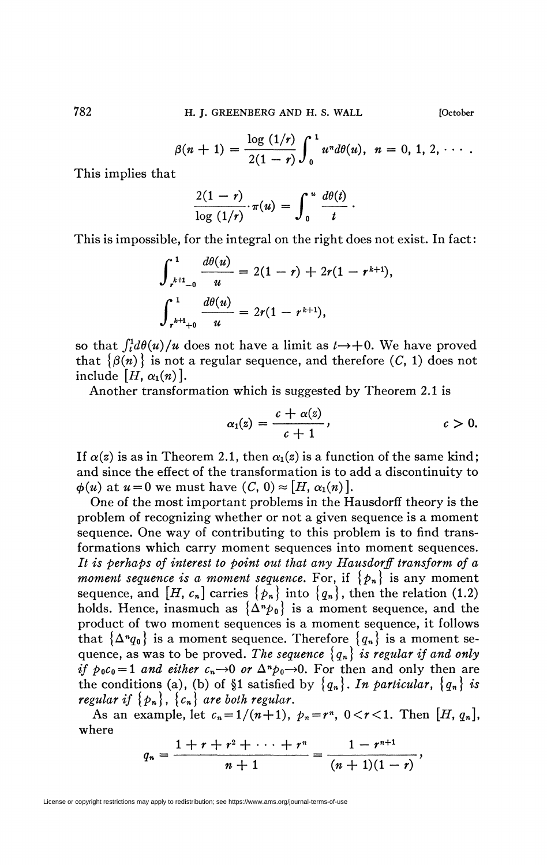$$
\beta(n + 1) = \frac{\log (1/r)}{2(1 - r)} \int_0^1 u^n d\theta(u), \ \ n = 0, 1, 2, \cdots.
$$

This implies that

$$
\frac{2(1-r)}{\log(1/r)}\cdot \pi(u) = \int_0^u \frac{d\theta(t)}{t}.
$$

This is impossible, for the integral on the right does not exist. In fact:

$$
\int_{r^{k+1}-0}^{1} \frac{d\theta(u)}{u} = 2(1-r) + 2r(1-r^{k+1}),
$$

$$
\int_{r^{k+1}+0}^{1} \frac{d\theta(u)}{u} = 2r(1-r^{k+1}),
$$

so that  $\int_t^1 d\theta(u)/u$  does not have a limit as  $t \to +0$ . We have proved that  $\{\beta(n)\}\$ is not a regular sequence, and therefore  $(C, 1)$  does not include  $[H, \alpha_1(n)]$ .

Another transformation which is suggested by Theorem 2.1 is

$$
\alpha_1(z) = \frac{c + \alpha(z)}{c + 1}, \qquad c > 0.
$$

If  $\alpha(z)$  is as in Theorem 2.1, then  $\alpha_1(z)$  is a function of the same kind; and since the effect of the transformation is to add a discontinuity to  $\phi(u)$  at  $u = 0$  we must have  $(C, 0) \approx [H, \alpha_1(n)].$ 

One of the most important problems in the Hausdorff theory is the problem of recognizing whether or not a given sequence is a moment sequence. One way of contributing to this problem is to find transformations which carry moment sequences into moment sequences. *It is perhaps of interest to point out that any Hausdorff transform of a moment sequence is a moment sequence.* For, if  ${p_n}$  is any moment sequence, and  $[H, c_n]$  carries  $\{p_n\}$  into  $\{q_n\}$ , then the relation (1.2) holds. Hence, inasmuch as  $\{\Delta^n p_0\}$  is a moment sequence, and the product of two moment sequences is a moment sequence, it follows that  $\{\Delta^n q_0\}$  is a moment sequence. Therefore  $\{q_n\}$  is a moment sequence, as was to be proved. The sequence  ${q_n}$  is regular if and only *if*  $p_0c_0 = 1$  and either  $c_n \rightarrow 0$  or  $\Delta^n p_0 \rightarrow 0$ . For then and only then are the conditions (a), (b) of §1 satisfied by  ${q_n}$ . In particular,  ${q_n}$  is *regular if*  $\{p_n\}$ ,  $\{c_n\}$  *are both regular.* 

As an example, let  $c_n = 1/(n+1)$ ,  $p_n = r^n$ ,  $0 < r < 1$ . Then  $[H, q_n]$ , where

$$
q_n=\frac{1+r+r^2+\cdots+r^n}{n+1}=\frac{1-r^{n+1}}{(n+1)(1-r)},
$$